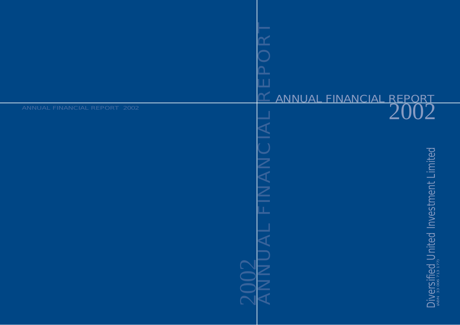# 20N<br>2002 ANNUAL FINANCIAL REPORT  $\frac{1}{2002}$ <br> $\frac{1}{2002}$   $\frac{1}{2002}$   $\frac{1}{2002}$   $\frac{1}{2002}$   $\frac{1}{2002}$   $\frac{1}{2002}$   $\frac{1}{2002}$   $\frac{1}{2002}$   $\frac{1}{2002}$   $\frac{1}{2002}$   $\frac{1}{2002}$   $\frac{1}{2002}$   $\frac{1}{2002}$   $\frac{1}{2002}$   $\$

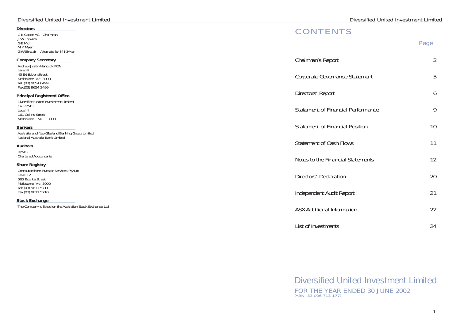# *Directors*

C B Goode AC - Chairman J W Hopkins G E Moir M K Myer G W Sinclair – Alternate for M K Myer

Diversified United Investment Limited C/- KPMG Level 4 161 Collins Street Melbourne VIC 3000

# *Company Secretary*

Andrew Justin Hancock FCA Level 4 45 Exhibition Street Melbourne Vic 3000 Tel: (03) 9654 0499 Fax:(03) 9654 3499

# *Principal Registered Office*

## *Bankers*

Australia and New Zealand Banking Group Limited National Australia Bank Limited

# *Auditors*

KPMG Chartered Accountants

# *Share Registry*

Computershare Investor Services Pty Ltd Level 12 565 Bourke Street Melbourne Vic 3000 Tel: (03) 9611 5711 Fax:(03) 9611 5710

## *Stock Exchange*

The Company is listed on the Australian Stock Exchange Ltd.

# **CONTENTS**

|                                           | Page           |
|-------------------------------------------|----------------|
| Chairman's Report                         | $\overline{2}$ |
| Corporate Governance Statement            | 5              |
| Directors' Report                         | 6              |
| <b>Statement of Financial Performance</b> | 9              |
| <b>Statement of Financial Position</b>    | 10             |
| <b>Statement of Cash Flows</b>            | 11             |
| Notes to the Financial Statements         | 12             |
| Directors' Declaration                    | 20             |
| Independent Audit Report                  | 21             |
| <b>ASX Additional Information</b>         | 22             |
| List of Investments                       | 24             |

| Chairman's Report               |
|---------------------------------|
| Corporate Governance S          |
| Directors' Report               |
| Statement of Financial F        |
| Statement of Financial F        |
| Statement of Cash Flow          |
| Notes to the Financial S        |
| Directors' Declaration          |
| Independent Audit Repo          |
| <b>ASX Additional Informati</b> |
| List of Investments             |

# Diversified United Investment Limited FOR THE YEAR ENDED 30 JUNE 2002 (ABN 33 006 713 177)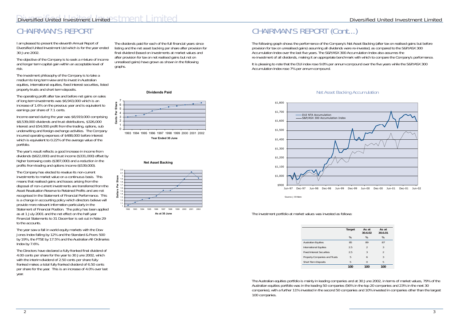# Diversified United Investment Limited STMCNT LIMITED COMPUTER CONTROL Diversified United Investment Limited

# CHAIRMAN'S REPORT

I am pleased to present the eleventh Annual Report of Diversified United Investment Ltd which is for the year ended 30 June 2002.

The objective of the Company is to seek a mixture of income and longer term capital gain within an acceptable level of risk.

The investment philosophy of the Company is to take a medium to long term view and to invest in Australian equities, international equities, fixed interest securities, listed property trusts and short term deposits.

The operating profit after tax and before net gains on sales of long term investments was \$6,943,000 which is an increase of 1.6% on the previous year and is equivalent to earnings per share of 7.1 cents.

Income earned during the year was \$8,919,000 comprising \$8,539,000 dividends and trust distributions, \$326,000 interest and \$54,000 profit from the trading, options, sub underwriting and foreign exchange activities. The Company incurred operating expenses of \$488,000 before interest which is equivalent to 0.22% of the average value of the portfolio.

The year saw a fall in world equity markets with the Dow Jones Index falling by 12% and the Standard & Poors 500 by 19%, the FTSE by 17.5% and the Australian All Ordinaries Index by 7.6%.

The year's result reflects a good increase in income from dividends (\$622,000) and trust income (\$331,000) offset by higher borrowing costs (\$387,000) and a reduction in the profits from trading and options income (\$539,000).

The Company has elected to revalue its non-current investments to market value on a continuous basis. This means that realised gains and losses arising from the disposal of non-current investments are transferred from the Asset Revaluation Reserve to Retained Profits and are not recognised in the Statement of Financial Performance. This is a change in accounting policy which directors believe will provide more relevant information particularly in the Statement of Financial Position. The policy has been applied as at 1 July 2001 and the net effect on the half-year Financial Statements to 31 December is set out in Note 29 to the accounts.

The Directors have declared a fully franked final dividend of 4.00 cents per share for the year to 30 June 2002, which with the interim dividend of 2.50 cents per share fully franked makes a total fully franked dividend of 6.50 cents per share for the year. This is an increase of 4.0% over last year.

The dividends paid for each of the full financial years since listing and the net asset backing per share after provision for final dividend (based on investments at market values and after provision for tax on net realised gains but not on unrealised gains) have grown as shown in the following graphs.

#### **Dividends Paid**









# Net Asset Backing Accumulation

# CHAIRMAN'S REPORT (Cont...)

The following graph shows the performance of the Company's Net Asset Backing (after tax on realised gains but before provision for tax on unrealised gains) assuming all dividends were re-invested, as compared to the S&P/ASX 300 Accumulation Index over the last five years. The S&P/ASX 300 Accumulation Index also assumes the re-investment of all dividends, making it an appropriate benchmark with which to compare the Company's performance.

It is pleasing to note that the DUI index rose 9.8% per annum compound over the five years while the S&P/ASX 300 Accumulation Index rose 7% per annum compound.

| Target | As at<br>30.6.02 | As at<br>30.6.01 |
|--------|------------------|------------------|
| %      | %                | %                |
| 85     | 89               | 87               |
| 2.5    | $\mathfrak{D}$   | 3                |
| 2.5    | 3                | $\mathfrak{D}$   |
| 5      | 6                | 3                |
| 5      | 0                | 5                |
| 100    | 100              | 100              |

The Australian equities portfolio is mainly in leading companies and at 30 June 2002, in terms of market values, 79% of the Australian equities portfolio was in the leading 50 companies (56% in the top 20 companies and 23% in the next 30 companies), with a further 11% invested in the second 50 companies and 10% invested in companies other than the largest 100 companies.

The investment portfolio at market values was invested as follows:

Australian Equities International Equities Fixed Interest Securities Property Companies and Trusts Short Term Deposits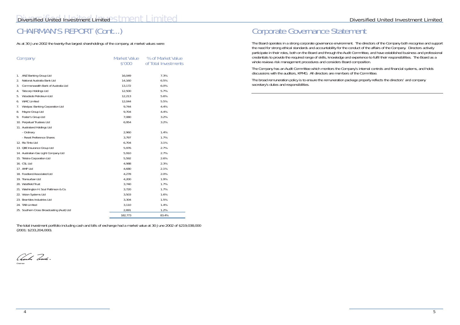As at 30 June 2002 the twenty-five largest shareholdings of the company, at market values were:

|    | Company                                    | Market Value<br>\$'000 | % of Market Value<br>of Total Investments |
|----|--------------------------------------------|------------------------|-------------------------------------------|
| 1. | ANZ Banking Group Ltd                      | 16,049                 | 7.3%                                      |
| 2. | National Australia Bank Ltd                | 14,160                 | 6.5%                                      |
| 3. | Commonwealth Bank of Australia Ltd         | 13,172                 | 6.0%                                      |
| 4. | Tabcorp Holdings Ltd                       | 12,500                 | 5.7%                                      |
| 5. | Woodside Petroleum Ltd                     | 12,213                 | 5.6%                                      |
| 6. | <b>WMC Limited</b>                         | 12,044                 | 5.5%                                      |
| 7. | Westpac Banking Corporation Ltd            | 9,744                  | 4.4%                                      |
| 8. | Mayne Group Ltd                            | 9,704                  | 4.4%                                      |
| 9. | Foster's Group Ltd                         | 7,080                  | 3.2%                                      |
|    | 10. Perpetual Trustees Ltd                 | 6,954                  | 3.2%                                      |
|    | 11. Australand Holdings Ltd                |                        |                                           |
|    | - Ordinary                                 | 2,960                  | 1.4%                                      |
|    | - Reset Preference Shares                  | 3,797                  | 1.7%                                      |
|    | 12. Rio Tinto Ltd                          | 6,704                  | 3.1%                                      |
|    | 13. OBE Insurance Group Ltd                | 5,976                  | 2.7%                                      |
|    | 14. Australian Gas Light Company Ltd       | 5,910                  | 2.7%                                      |
|    | 15. Telstra Corporation Ltd                | 5,592                  | 2.6%                                      |
|    | 16. CSL Ltd                                | 4,988                  | 2.3%                                      |
|    | 17. AMP Ltd                                | 4,680                  | 2.1%                                      |
|    | 18. Foodland Associated Ltd                | 4,278                  | 2.0%                                      |
|    | 19. Transurban Ltd                         | 4,200                  | 1.9%                                      |
|    | 20. Westfield Trust                        | 3,740                  | 1.7%                                      |
|    | 21. Washington H. Soul Pattinson & Co.     | 3,720                  | 1.7%                                      |
|    | 22. Vision Systems Ltd                     | 3,503                  | 1.6%                                      |
|    | 23. Brambles Industries Ltd                | 3,304                  | 1.5%                                      |
|    | 24. TAB Limited                            | 3,110                  | 1.4%                                      |
|    | 25. Southern Cross Broadcasting (Aust) Ltd | 2,691                  | 1.2%                                      |
|    |                                            | 182,773                | 83.4%                                     |

The Board operates in a strong corporate governance environment. The directors of the Company both recognise and support the need for strong ethical standards and accountability for the conduct of the affairs of the Company. Directors actively participate in their roles, both on the Board and through the Audit Committee, and have established business and professional credentials to provide the required range of skills, knowledge and experience to fulfil their responsibilities. The Board as a whole reviews risk management procedures and considers Board composition.

The total investment portfolio including cash and bills of exchange had a market value at 30 June 2002 of \$219,038,000 (2001: \$233,204,000).

Charles Goode Chairman

Corporate Governance Statement

The Company has an Audit Committee which monitors the Company's internal controls and financial systems, and holds discussions with the auditors, KPMG. All directors are members of the Committee.

The broad remuneration policy is to ensure the remuneration package properly reflects the directors' and company secretary's duties and responsibilities.

# CHAIRMAN'S REPORT (Cont...)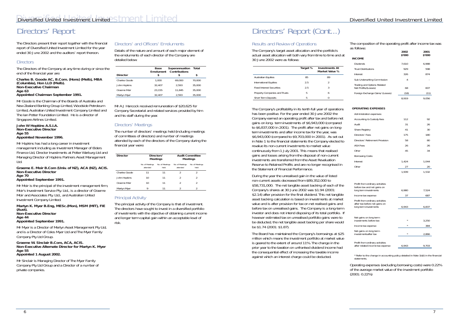# Results and Review of Operations

The Company's target asset allocation and the portfolio's actual asset allocation will both vary from time to time and at 30 June 2002 were as follows:

|                                  | Target % | <b>Investments At</b><br>Market Value % |
|----------------------------------|----------|-----------------------------------------|
| <b>Australian Equities</b>       | 85       | 89                                      |
| International Equities           | 25       | 2                                       |
| <b>Fixed Interest Securities</b> | 25       | 3                                       |
| Property Companies and Trusts    | 5        | h                                       |
| Short Term Deposits              | 5        | 0                                       |

The Company's profitability in its tenth full year of operations has been positive. For the year ended 30 June 2002 the Company earned an operating profit after tax and before net gains on long- term investments of \$6,943,000 (compared to \$6,837,000 in 2001). The profit after net gains on longterm investments and after income tax for the year, was \$6,943,000 (compared to \$9,703,000 in 2001). As set out in Note 1 to the financial statements the Company elected to revalue its non-current investments to market value continuously from 1 July 2001. This means that realised gains and losses arising from the disposal of non-current investments are transferred from the Asset Revaluation Reserve to Retained Profits and are no longer recognised in the Statement of Financial Performance.

During the year the unrealised gain in the value of listed non-current assets decreased from \$89,352,000 to \$58,731,000. The net tangible asset backing of each of the Company's shares at 30 June 2002 was \$1.94 (2001: \$2.14) after provision for the final dividend. This net tangible asset backing calculation is based on investments at market value and is after provision for tax on net realised gains and before tax on unrealised gains. The Company is a long-term investor and does not intend disposing of its total portfolio. If however estimated tax on unrealised portfolio gains were to be deducted, the net tangible asset backing per share would be \$1.74 (2001: \$1.87).

The Board has maintained the Company's borrowings at \$25 million which means the investment portfolio at market value is geared to the extent of around 11%. The change in the prior year to the taxation on unfranked dividend income had the consequential effect of increasing the taxable income against which an interest charge could be deducted.

The composition of the operating profit after income tax was as follows:

|                                                                     | 2002<br>\$'000 | 2001<br>\$'000 |
|---------------------------------------------------------------------|----------------|----------------|
| <b>INCOME</b>                                                       |                |                |
| Dividends                                                           | 7,610          | 6,988          |
| <b>Trust Distributions</b>                                          | 929            | 598            |
| Interest                                                            | 326            | 874            |
| Sub Underwriting Commission                                         | 4              |                |
| Trading and Options Related<br>Net Profits/(Losses)                 | 68             | 607            |
| Foreign Exchange Gains/ (Losses)                                    | (18)           | (11)           |
|                                                                     | 8,919          | 9,056          |
| <b>OPERATING EXPENSES</b>                                           |                |                |
| Administration expenses:                                            |                |                |
| Accounting & Custody fees                                           | 112            | 92             |
| Audit                                                               | 31             | 26             |
| Share Registry                                                      | 41             | 30             |
| Directors' Fees                                                     | 175            | 180            |
| Directors' Retirement Provision                                     | 58             | 80             |
| <b>ASX Fees</b>                                                     | 26             | 26             |
| Other                                                               | 45             | 34             |
| Borrowing Costs:                                                    |                |                |
| Interest                                                            | 1,424          | 1,044          |
| Other                                                               | 27             | 20             |
|                                                                     | 1,939          | 1,532          |
| Profit from ordinary activities                                     |                |                |
| before tax and net gains on<br>long term investments                | 6,980          | 7,524          |
| Income tax expense                                                  | 37             | 687            |
| Profit from ordinary activities<br>after tax before net gains on    |                |                |
| long term investments                                               | 6,943          | 6,837          |
| Net gains on long term<br>investments before tax                    |                | 3,250          |
| Income tax expense                                                  |                | 384            |
| Net gains on long term                                              |                |                |
| investmentsafter tax                                                |                | 2,866          |
| Profit from ordinary activities<br>after related income tax expense | 6,943          | 9,703          |

\* Refer to the change in accounting policy detailed in Note 1b(ii) in the financial statements.

Operating expenses (excluding borrowing costs) were 0.22% of the average market value of the investment portfolio (2001: 0.22%)

# Directors' Report

The Directors present their report together with the financial report of Diversified United Investment Limited for the year ended 30 June 2002 and the auditors' report thereon.

# **Directors**

The Directors of the Company at any time during or since the end of the financial year are:

#### *Charles B. Goode AC, B.Com. (Hons) (Melb), MBA (Columbia), Hon LLD (Melb). Non-Executive Chairman Age 63 Appointed Chairman September 1991.*

Mr Goode is the Chairman of the Boards of Australia and New Zealand Banking Group Limited, Woodside Petroleum Limited, Australian United Investment Company Limited and The Ian Potter Foundation Limited. He is a director of Singapore Airlines Limited.

#### *John W Hopkins A.S.I.A. Non-Executive Director Age 55*

# *Appointed November 1996.*

Mr Hopkins has had a long career in investment management including as Investment Manager of Elders Finance Ltd, Director Investments at Potter Warburg Ltd and Managing Director of Hopkins Partners Asset Management Ltd.

#### *Graeme E. Moir B.Com (Univ. of NZ), ACA (NZ), ACIS. Non-Executive Director Age 70*

# *Appointed September 1991.*

Mr Moir is the principal of the investment management firm, Moir's Investment Service Pty. Ltd., is a director of Graeme Moir and Associates Pty. Ltd., and Australian United Investment Company Limited.

*Martyn K. Myer B.Eng, MESc.(Mon), MSM (MIT), FIE (Aust).*

*Non-Executive Director Age 44*

# *Appointed September 1991.*

Mr Myer is a Director of Merlyn Asset Management Pty Ltd, and is a Director of Coles Myer Ltd and The Myer Family Company Pty Ltd Group.

## *Graeme W. Sinclair B.Com, ACA, ACIS. Non-Executive Alternate Director for Martyn K. Myer Age 55*

*Appointed 1 August 2002.*

Mr Sinclair is Managing Director of The Myer Family Company Pty Ltd Group and a Director of a number of private companies.

# Directors' and Officers' Emoluments

Details of the nature and amount of each major element of the emoluments of each director of the Company are detailed below:

|                 | Base<br>Emolument | Superannuation<br>Contributions | Total  |
|-----------------|-------------------|---------------------------------|--------|
| <b>Director</b> | S                 | S                               | S      |
| Charles Goode   | 1.000             | 69.000                          | 70,000 |
| John Hopkins    | 32.407            | 2.593                           | 35,000 |
| Graeme Moir     | 23.155            | 11.845                          | 35,000 |
| Martyn Myer     | 32.407            | 2.593                           | 35,000 |

Mr A J Hancock received remuneration of \$20,625 for Company Secretarial and related services provided by him and his staff during the year.

# Directors' Meetings

The number of directors' meetings held (including meetings of committees of directors) and number of meetings attended by each of the directors of the Company during the financial year were:

| <b>Director</b> | Directors'<br><b>Meetings</b> |                         |                             | <b>Audit Committee</b><br><b>Meetings</b> |
|-----------------|-------------------------------|-------------------------|-----------------------------|-------------------------------------------|
|                 | No. of Meetings<br>attended   | No. of Meetings<br>held | No. of Meetings<br>attended | No. of Meetings<br>held                   |
| Charles Goode   | 11                            | 11                      |                             |                                           |
| John Hopkins    | 10                            | 11                      | $\mathcal{P}$               |                                           |
| Graeme Moir     | 10                            | 11                      | 2                           |                                           |
| Martyn Myer     | Q                             | 11                      |                             |                                           |

# Principal Activity

The principal activity of the Company is that of investment. The directors have sought to invest in a diversified portfolio of investments with the objective of obtaining current income and longer term capital gain within an acceptable level of risk.

# Directors' Report (Cont...)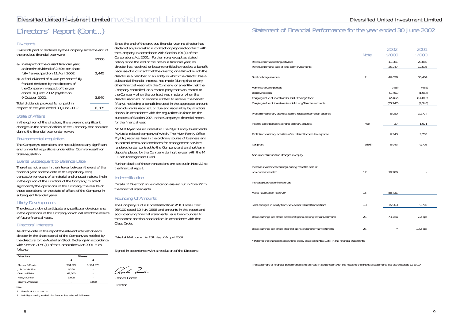# **Dividends**

# Diversified United Investment Limited

Dividends paid or declared by the Company since the end of the previous financial year were:  $\ddot{ }$ 

|                                                                                                                                                               | P.OOO |
|---------------------------------------------------------------------------------------------------------------------------------------------------------------|-------|
| a) In respect of the current financial year,<br>an interim dividend of 2.50¢ per share<br>fully franked paid on 11 April 2002.                                | 2,445 |
| b) A final dividend of $4.00¢$ per share fully<br>franked declared by the directors of<br>the Company in respect of the year<br>ended 30 June 2002 payable on |       |
| 9 October 2002.                                                                                                                                               | 3,940 |
| Total dividends provided for or paid in                                                                                                                       |       |
| respect of the year ended 30 June 2002                                                                                                                        | 6.385 |

There has not arisen in the interval between the end of the financial year and the date of this report any item, transaction or event of a material and unusual nature, likely, in the opinion of the directors of the Company, to affect significantly the operations of the Company, the results of those operations, or the state of affairs of the Company, in subsequent financial years.

# State of Affairs

In the opinion of the directors, there were no significant changes in the state of affairs of the Company that occurred during the financial year under review.

# Environmental regulation

The Company's operations are not subject to any significant environmental regulations under either Commonwealth or State legislation.

# Events Subsequent to Balance Date

# Likely Developments

The directors do not anticipate any particular developments in the operations of the Company which will affect the results of future financial years.

# Directors' Interests

As at the date of this report the relevant interest of each director in the share capital of the Company as notified by the directors to the Australian Stock Exchange in accordance with Section 205G(1) of the Corporations Act 2001 is as follows:-

| <b>Directors</b>  | <b>Shares</b> |           |  |  |
|-------------------|---------------|-----------|--|--|
|                   |               | 2         |  |  |
| Charles B Goode   | 984.527       | 1,114,673 |  |  |
| John W Hopkins    | 6.250         |           |  |  |
| Graeme E Moir     | 62,500        | ٠         |  |  |
| Martyn K Myer     | 5.008         | ۰         |  |  |
| Graeme W Sinclair | ۰             | 3.000     |  |  |

Note:

1. Beneficial in own name

Charles Goode **Director** 

# Directors' Report (Cont...) Statement of Financial Performance for the year ended 30 June 2002

2. Held by an entity in which the Director has a beneficial interest

Since the end of the previous financial year no director has declared any interest in a contract or proposed contract with the Company in accordance with Section 191(1) of the Corporations Act 2001. Furthermore, except as stated below, since the end of the previous financial year, no director has received, or become entitled to receive, a benefit because of a contract that the director, or a firm of which the director is a member, or an entity in which the director has a substantial financial interest, has made (during that or any other financial year) with the Company, or an entity that the Company controlled, or a related party that was related to the Company when the contract was made or when the director received, or became entitled to receive, the benefit (if any), not being a benefit included in the aggregate amount of emoluments received, or due and receivable, by directors shown, in accordance with the regulations in force for the purposes of Section 297, in the Company's financial report, for the financial year.

Mr M K Myer has an interest in The Myer Family Investments Pty Ltd a related company of which, The Myer Family Office Pty Ltd, receives fees in the ordinary course of business and on normal terms and conditions for management services rendered under contract to the Company and on short term deposits placed by the Company during the year with the M F Cash Management Fund.

Further details of these transactions are set out in Note 22 to the financial report.

# Indemnification

Details of Directors' indemnification are set out in Note 22 to the financial statements.

# Rounding Of Amounts

The Company is of a kind referred to in ASIC Class Order 98/100 dated 10 July 1998 and amounts in this report and accompanying financial statements have been rounded to the nearest one thousand dollars in accordance with that Class Order.

*Dated at Melbourne this 15th day of August 2002*

Signed in accordance with a resolution of the Directors:

Vanho Dales

|                                                                                                                                                              | Note           | 2002<br>\$'000                             | 2001<br>\$'000                            |
|--------------------------------------------------------------------------------------------------------------------------------------------------------------|----------------|--------------------------------------------|-------------------------------------------|
| Revenue from operating activities<br>Revenue from the sale of long term investments                                                                          |                | 11,381<br>35,247                           | 23,869<br>12,595                          |
| Total ordinary revenue                                                                                                                                       | $\overline{2}$ | 46,628                                     | 36,464                                    |
| Administrative expenses<br>Borrowing costs<br>Carrying Value of investments sold- Trading Stock<br>Carrying Value of investments sold- Long Term Investments |                | (488)<br>(1, 451)<br>(2, 462)<br>(35, 247) | (468)<br>(1,064)<br>(14, 813)<br>(9, 345) |
| Profit from ordinary activities before related income tax expense                                                                                            |                | 6,980                                      | 10,774                                    |
| Income tax expense relating to ordinary activities                                                                                                           | 4(a)           | 37                                         | 1,071                                     |
| Profit from ordinary activities after related income tax expense                                                                                             |                | 6,943                                      | 9,703                                     |
| Net profit                                                                                                                                                   | 1(b)(ii)       | 6,943                                      | 9,703                                     |
| Non-owner transaction changes in equity                                                                                                                      |                |                                            |                                           |
| Increase in retained earnings arising from the sale of<br>non-current assets*                                                                                | 17             | 10,289                                     |                                           |
| Increase/(Decrease) in reserves                                                                                                                              |                |                                            |                                           |
| Asset Revaluation Reserve*                                                                                                                                   | 16             | 58,731                                     |                                           |
| Total changes in equity from non-owner related transactions                                                                                                  | 18             | 75,963                                     | 9,703                                     |
| Basic earnings per share before net gains on long term investments                                                                                           | 25             | 7.1 cps                                    | 7.2 cps                                   |
| Basic earnings per share after net gains on long term investments                                                                                            | 25             |                                            | 10.2 cps                                  |

\* Refer to the change in accounting policy detailed in Note 1b(ii) in the financial statements.

The statement of financial performance is to be read in conjunction with the notes to the financial statements set out on pages 12 to 19.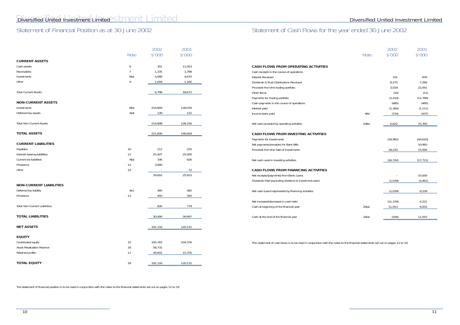# r ended 30 June 2002

# Statement of Financial Position as at 30 June 2002

| Statement of Cash Flows for the year |  |  |  |
|--------------------------------------|--|--|--|
|                                      |  |  |  |

The statement of financial position is to be read in conjunction with the notes to the financial statements set out on pages 12 to 19.

| <b>Note</b> | 2002<br>\$'000 | 2001<br>\$'000 |
|-------------|----------------|----------------|
|             |                |                |
|             | 331            | 876            |
|             | 8,275          | 7,289          |
|             | 3,018          | 22,061         |
|             | (14)           | (11)           |
|             | (2, 419)       | (12, 789)      |
|             | (485)          | (485)          |
|             | (1, 360)       | (1, 111)       |
| 4(b)        | (724)          | (437)          |
| 24(b)       | 6,622          | 15,393         |
|             |                |                |
|             | (34, 962)      | (44, 620)      |
|             |                | 10,983         |
|             | 18,220         | 15,926         |
|             | (16, 742)      | (17, 711)      |
|             |                |                |
|             |                | 10,000         |
|             | (1,039)        | (3, 461)       |
|             | (1,039)        | 6,539          |
|             | (11, 159)      | 4,221          |
| 24(a)       | 11,053         | 6,832          |
| 24(a)       | (106)          | 11,053         |

|                                      | Note | 2002<br>\$'000           | 2001<br>\$'000 |                                                                                                                                 | <b>Note</b> | 2002<br>\$'000 | 2001<br>\$'000 |
|--------------------------------------|------|--------------------------|----------------|---------------------------------------------------------------------------------------------------------------------------------|-------------|----------------|----------------|
| <b>CURRENT ASSETS</b>                |      |                          |                |                                                                                                                                 |             |                |                |
| Cash assets                          | 6    | 301                      | 11,053         | <b>CASH FLOWS FROM OPERATING ACTIVITIES</b>                                                                                     |             |                |                |
| Receivables                          |      | 1,335                    | 1,789          | Cash receipts in the course of operations                                                                                       |             |                |                |
| Investments                          | 8(a) | 4,068                    | 4,670          | Interest Received                                                                                                               |             | 331            | 876            |
| Other                                | 9    | 1,094                    | 1,160          | Dividends & Trust Distributions Received                                                                                        |             | 8,275          | 7,289          |
|                                      |      |                          |                | Proceeds from the trading portfolio                                                                                             |             | 3,018          | 22,061         |
| <b>Total Current Assets</b>          |      | 6,798                    | 18,672         | Other Items                                                                                                                     |             | (14)           | (11)           |
|                                      |      |                          |                | Payments for trading portfolio                                                                                                  |             | (2, 419)       | (12, 789)      |
| <b>NON-CURRENT ASSETS</b>            |      |                          |                | Cash payments in the course of operations                                                                                       |             | (485)          | (485)          |
| Investments                          | 8(b) | 214,669                  | 128,034        | Interest paid                                                                                                                   |             | (1, 360)       | (1, 111)       |
| Deferred tax assets                  | 4(d) | 139                      | 122            | Income taxes paid                                                                                                               | 4(b)        | (724)          | (437)          |
| <b>Total Non-Current Assets</b>      |      | 214,808                  | 128,156        | Net cash provided by operating activities                                                                                       | 24(b)       | 6,622          | 15,393         |
| <b>TOTAL ASSETS</b>                  |      | 221,606                  | 146,828        | <b>CASH FLOWS FROM INVESTING ACTIVITIES</b>                                                                                     |             |                |                |
|                                      |      |                          |                | Payments for Investments                                                                                                        |             | (34,962)       | (44, 620)      |
| <b>CURRENT LIABILITIES</b>           |      |                          |                | Net payments/(receipts) for Bank Bills                                                                                          |             | $\sim$         | 10,983         |
| Payables                             | 10   | 112                      | 225            | Proceeds from the Sale of Investments                                                                                           |             | 18,220         | 15,926         |
| Interest-bearing liabilities         | 11   | 25,407                   | 25,000         |                                                                                                                                 |             |                |                |
| Current tax liabilities              | 4(b) | 196                      | 626            | Net cash used in investing activities                                                                                           |             | (16, 742)      | (17, 711)      |
| Provisions                           | 13   | 3,940                    |                |                                                                                                                                 |             |                |                |
| Other                                | 14   | $\overline{\phantom{a}}$ | 72             | <b>CASH FLOWS FROM FINANCING ACTIVITIES</b>                                                                                     |             |                |                |
|                                      |      | 29,655                   | 25,923         | Net receipts/(payments) from Bank Loans                                                                                         |             |                | 10,000         |
|                                      |      |                          |                | Dividends Paid (excluding dividend re-investment plan)                                                                          |             | (1,039)        | (3, 461)       |
| <b>NON-CURRENT LIABILITIES</b>       |      |                          |                |                                                                                                                                 |             |                |                |
| Deferred tax liability               | 4(c) | 385                      | 382            | Net cash (used in)/provided by financing activities                                                                             |             | (1,039)        | 6,539          |
| Provisions                           | 13   | 450                      | 392            |                                                                                                                                 |             |                |                |
|                                      |      |                          |                | Net increase/(decrease) in cash held                                                                                            |             | (11, 159)      | 4,221          |
| <b>Total Non-Current Liabilities</b> |      | 835                      | 774            | Cash at beginning of the financial year                                                                                         | 24(a)       | 11,053         | 6,832          |
| <b>TOTAL LIABILITIES</b>             |      | 30,490                   | 26,697         | Cash at the end of the financial year                                                                                           | 24(a)       | (106)          | 11,053         |
| <b>NET ASSETS</b>                    |      | 191,116                  | 120,131        |                                                                                                                                 |             |                |                |
| <b>EQUITY</b>                        |      |                          |                |                                                                                                                                 |             |                |                |
| Contributed equity                   | 15   | 105,783                  | 104,376        | This statement of cash flows is to be read in conjunction with the notes to the financial statements set out on pages 12 to 19. |             |                |                |
| Asset Revaluation Reserve            | 16   | 58,731                   |                |                                                                                                                                 |             |                |                |
| Retained profits                     | 17   | 26,602                   | 15,755         |                                                                                                                                 |             |                |                |
| <b>TOTAL EQUITY</b>                  | 18   | 191,116                  | 120,131        |                                                                                                                                 |             |                |                |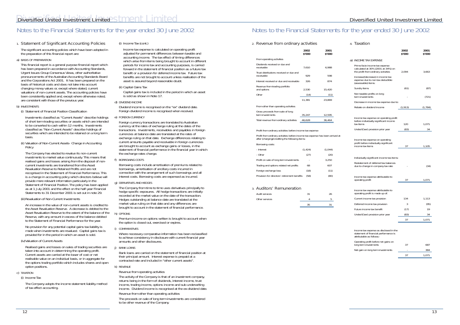# 1. *Statement of Significant Accounting Policies*

The significant accounting policies which have been adopted in the preparation of this financial report are:

## a) BASIS OF PREPARATION

This financial report is a general purpose financial report which has been prepared in accordance with Accounting Standards, Urgent Issues Group Consensus Views, other authoritative pronouncements of the Australian Accounting Standards Board and the Corporations Act 2001. It has been prepared on the basis of historical costs and does not take into account changing money values or, except where stated, current valuations of non-current assets. The accounting policies have been consistently applied and, except where otherwise noted, are consistent with those of the previous year.

## b) INVESTMENTS

(i) Statement of Financial Position Classification

Investments classified as "Current Assets" describe holdings of short term trading securities or assets which are intended to be converted to cash within 12 months. Investments classified as "Non-Current Assets" describe holdings of securities which are intended to be retained on a long term basis.

#### (ii) Valuation of Non-Current Assets- Change in Accounting Policy

The Company has elected to revalue its non-current investments to market value continuously. This means that realised gains and losses arising from the disposal of noncurrent investments are transferred from the Asset Revaluation Reserve to Retained Profits and are not recognised in the Statement of Financial Performance. This is a change in accounting policy which directors believe will provide more relevant information particularly in the Statement of Financial Position. The policy has been applied as at 1 July 2001 and the effect on the half-year Financial Statements to 31 December 2001 is set out in note 29.

## (iii) Revaluation of Non-Current Investments

An increase in the value of non-current assets is credited to the Asset Revaluation Reserve. A decrease is debited to the Asset Revaluation Reserve to the extent of the balance of the Reserve, with any amount in excess of the balance debited to the Statement of Financial Performance for the year.

No provision for any potential capital gains tax liability is made when investments are revalued. Capital gains tax is provided for in the period in which an asset is sold.

## (iv) Valuation of Current Assets

Realised gains and losses on sales of trading securities are taken into account in determining the operating profit. Current assets are carried at the lower of cost or net realisable value on an individual basis, or in aggregate for the options trading portfolio which includes shares and open option positions.

## c) TAXATION

## (i) Income Tax

The Company adopts the income statement liability method of tax effect accounting.

## (i) Income Tax (cont.)

Income tax expense is calculated on operating profit adjusted for permanent differences between taxable and accounting income. The tax effect of timing differences which arise from items being brought to account in different periods for income tax and accounting purposes, is carried forward in the statement of financial position as a future tax benefit or a provision for deferred income tax. Future tax benefits are not brought to account unless realisation of the asset is assured beyond reasonable doubt.

## (ii) Capital Gains Tax

Capital gains tax is included in the period in which an asset is sold as shown in Note 17.

## d) DIVIDEND INCOME

Dividend income is recognised on the "ex" dividend date. Foreign dividend income is recognised when received.

## e) FOREIGN CURRENCY

Foreign currency transactions are translated to Australian currency at the rates of exchange ruling at the dates of the transactions. Investments, receivables and payables in foreign currencies at balance date are translated at the rates of exchange ruling on that date. Exchange differences relating to current amounts payable and receivable in foreign currencies are brought to account as exchange gains or losses, in the statement of financial performance in the financial year in which the exchange rates change.

## f) BORROWING COSTS

Borrowing costs include amortisation of premiums related to borrowings, amortisation of ancillary costs incurred in connection with the arrangement of such borrowings and all interest costs. Borrowing costs are expensed as incurred.

## g) DERIVATIVES AND HEDGES

The Company from time to time uses derivatives principally to hedge specific exposures. All hedge transactions are initially recorded at the market value on the date of the transaction. Hedges outstanding at balance date are translated at the market value ruling on that date and any differences are brought to account in the statement of financial performance.

## h) OPTIONS

Premium income on options written is brought to account when the option is closed out, exercised or expires.

## i) COMPARATIVES

Where necessary comparative information has been reclassified to achieve consistency in disclosure with current financial year amounts and other disclosures.

## j) BANK LOANS

Bank loans are carried on the statement of financial position at their principal amount. Interest expense is prepaid at a contracted rate and included in "other current assets".

## k) REVENUE

Revenue from operating activities

The activity of the Company is that of an investment company, returns being in the form of dividends, interest income, trust income, trading income, options income and sub-underwriting income. Dividend income is recognised at the ex-dividend date. Revenue from other than operating activities

The proceeds on sale of long term investments are considered to be other revenue of the Company.

# Notes to the Financial Statements for the year ended 30 June 2002

# 2. *Revenue from ordinary activities*

|                                                       | 2002<br>\$'000 | 2001<br>\$'000 |
|-------------------------------------------------------|----------------|----------------|
| From operating activities                             |                |                |
| Dividends received or due and<br>receivable           | 7,610          | 6,988          |
| Trust distributions received or due and<br>receivable | 929            | 598            |
| Interest received or due and receivable               | 326            | 874            |
| Revenue from trading portfolio<br>and options         | 2.530          | 15,420         |
| Other                                                 | (14)           | (11)           |
|                                                       | 11,381         | 23,869         |
| From other than operating activities                  |                |                |
| Gross proceeds from sale of long<br>term investments  | 35,247         | 12,595         |
| Total revenue from ordinary activities                | 46,628         | 36,464         |

#### Profit from ordinary activities before income tax expense

Profit from ordinary activities before income tax expense has been arrived at after (charging)/crediting the following items:

#### Borrowing costs:

| - Interest                                   | (1, 424) | (1,044) |
|----------------------------------------------|----------|---------|
| - Other                                      | (27)     | (20)    |
| Profit on sale of long term investments      |          | 3.250   |
| Trading and options related net profits      | 68       | 607     |
| Foreign exchange loss                        | (18)     | (11)    |
| Provision for directors' retirement benefits | (58)     | (80)    |

# 3. *Auditors' Remuneration*

| Audit services | 31 |  |
|----------------|----|--|
| Other services |    |  |
|                | 35 |  |

# 4. *Taxation*

|    |                                                                                                              | 2002<br>\$'000 | 2001<br>\$'000 |
|----|--------------------------------------------------------------------------------------------------------------|----------------|----------------|
| a) | <b>INCOME TAX EXPENSE</b>                                                                                    |                |                |
|    | Prima facie income tax expense<br>calculated at 30% (2001 at 34%) on<br>the profit from ordinary activities  | 2.094          | 3,663          |
|    | Increase/(decrease) in income tax<br>expense due to non tax deductible<br>(assessable) items:                |                |                |
|    | Sundry items                                                                                                 | (61)           | (87)           |
|    | Non taxable profits on long<br>term investments                                                              |                | (721)          |
|    | Decrease in income tax expense due to:                                                                       |                |                |
|    | Rebate on dividend income                                                                                    | (1, 913)       | (1,784)        |
|    | Income tax expense on operating profit<br>before individually significant income<br>tax items                | 120            | 1,071          |
|    | Under/(Over) provision prior year                                                                            | (83)           | 34             |
|    | Income tax expense on operating<br>profit before individually significant<br>income tax items                | 37             | 1,105          |
|    | Individually significant income tax items:                                                                   |                |                |
|    | Restatement of deferred tax balances<br>due to change in company tax rate                                    |                | (34)           |
|    | Income tax expense attributable to<br>operating profit                                                       | 37             | 1,071          |
|    | Income tax expense attributable to<br>operating profit is made up of:                                        |                |                |
|    | Current income tax provision                                                                                 | 134            | 1,113          |
|    | Deferred income tax provision                                                                                | 3              | (95)           |
|    | Future income tax benefit                                                                                    | (17)           | 19             |
|    | Under/(Over) provision prior year                                                                            | (83)           | 34             |
|    |                                                                                                              | 37             | 1,071          |
|    | Income tax expense as disclosed in the<br>statement of financial performance is<br>attributable as follows:- |                |                |
|    | Operating profit before net gains on<br>long term investments                                                | 37             | 687            |
|    | Net gain on long term investments                                                                            |                | 384            |
|    |                                                                                                              | 37             | 1,071          |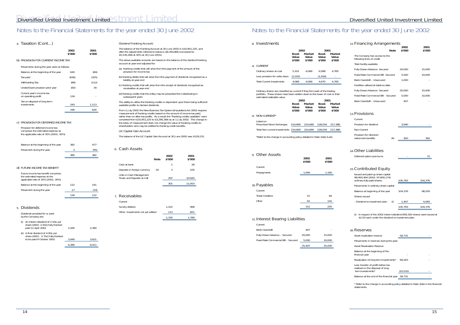# 4. *Taxation (Cont...)*

# Diversified United Investment Limited Stment Limited

**2002 2001 \$'000 \$'000**

# b) PROVISION FOR CURRENT INCOME TAX

| Movements during the year were as follows. |  |  |  |  |
|--------------------------------------------|--|--|--|--|

| <i>movements</i> dailing the year were as relieves. |       |       |
|-----------------------------------------------------|-------|-------|
| Balance at the beginning of the year                | 626   | (84)  |
| Tax paid                                            | (636) | (325) |
| Withholding Tax                                     | (88)  | (112) |
| Under/(Over) provision prior year                   | (83)  | 34    |
| Current year's income tax<br>on operating profit    | 134   | ٠     |
| Tax on disposal of long term<br>investments         | 243   | 1,113 |
|                                                     | 196   | 626   |
|                                                     |       |       |

# c) PROVISION FOR DEFERRED INCOME TAX

Provision for deferred income tax comprises the estimated expense at the applicable rate of 30% (2001: 30%)

| Balance at the beginning of the year | 382 | 477  |
|--------------------------------------|-----|------|
| Movement during the year             |     | (95) |
|                                      | 385 | 382  |

## d) FUTURE INCOME TAX BENEFIT

- (a) franking credits that will arise from the payment of the amount of the provision for income tax
- (b) franking debits that will arise from the payment of dividends recognised as a liability at year-end
- (c) franking credits that will arise from the receipt of dividends recognised as receivables at year-end
- (d) franking credits that the entity may be prevented from distributing in subsequent years

| Future income tax benefit comprises<br>the estimated expense at the<br>applicable rate of 30% (2001: 30%) |       |      |
|-----------------------------------------------------------------------------------------------------------|-------|------|
| Balance at the beginning of the year                                                                      | 122   | 141  |
| Movement during the year                                                                                  | 17    | '19) |
|                                                                                                           | 1 ? Q |      |

## 5. *Dividends*

| Dividends provided for or paid<br>by the Company are:                                                     |       |       |
|-----------------------------------------------------------------------------------------------------------|-------|-------|
| An interim dividend of 2.50¢ per<br>share (2001: 2.50¢) fully franked<br>(i)<br>paid 11 April 2001        | 2.445 | 2.390 |
| A final dividend of 4.00¢ per<br>(ii)<br>share $(2001: 3.750)$ fully franked<br>to be paid 9 October 2002 | 3.940 | 3.621 |
|                                                                                                           | 6,385 | 6.011 |
|                                                                                                           |       |       |

#### Dividend Franking Account:

The balance of the Franking Account at 30 June 2002 is \$10,951,225, and after the adjustments referred to below is \$8,393,866 (compared to \$5,535,268 at 30% at 30 June 2001).

The above available amounts are based on the balance of the dividend franking account at year-end adjusted for:

The ability to utilise the franking credits is dependent upon there being sufficient available profits to declare dividends.

From 1 July 2002 the New Business Tax System (Imputation) Act 2002 requires measurement of franking credits based on the amount of income tax paid, rather than on after-tax profits. As a result the "franking credits available" were converted from \$10,951,225 to \$3,285,368 as at 1 July 2002. This change in the basis of measurement does not change the value of franking credits to shareholders who may be entitled to franking credit benefits.

## LIC Capital Gain Account:

The balance of the LIC Capital Gain Account at 30 June 2002 was \$129,231.

# 6. *Cash Assets*

|                                                         | Note | 2002<br>\$'000 | 2001<br>\$'000 |
|---------------------------------------------------------|------|----------------|----------------|
| Cash at bank                                            |      |                | 28             |
| Deposits in foreign currency                            | 20   | 3              | 105            |
| Units in Cash Management<br>Trusts and Deposits at Call |      | 297            | 10.920         |
|                                                         |      | 301            | 11.053         |

## 7. *Receivables*

| Current                            |       |       |
|------------------------------------|-------|-------|
| Sundry debtors                     | 1.222 | 968   |
| Other- Investments not yet settled | 113   | 821   |
|                                    | 1.335 | 1.789 |

# Notes to the Financial Statements for the year ended 30 June 2002

| 12. Financing Arrangements                                  |                |                |  |  |
|-------------------------------------------------------------|----------------|----------------|--|--|
| <b>Note</b>                                                 | 2002<br>\$'000 | 2001<br>\$'000 |  |  |
| The Company has access to the<br>following lines of credit: |                |                |  |  |
| Total facility available                                    |                |                |  |  |
| Fully Drawn Advance- Secured                                | 20,000         | 15,000         |  |  |
| Fixed Rate Commercial Bill- Secured                         | 5,000          | 10,000         |  |  |
| Bank Overdraft - Unsecured                                  | 1,000          |                |  |  |
| Facilities utilised at balance date                         |                |                |  |  |
| Fully Drawn Advance- Secured                                | 20,000         | 15,000         |  |  |
| Fixed Rate Commercial Bill - Secured                        | 5,000          | 10,000         |  |  |
| Bank Overdraft - Unsecured                                  | 407            |                |  |  |
| 13. Provisions                                              |                |                |  |  |
| Current                                                     |                |                |  |  |
| Provision for dividend                                      | 3,940          |                |  |  |
| Non-Current                                                 |                |                |  |  |
| Provision for directors'<br>retirement benefits<br>26       | 450            | 392            |  |  |
|                                                             |                |                |  |  |
| 14. Other Liabilities                                       |                |                |  |  |
| Deferred option premiums                                    |                | 72             |  |  |
| 15. Contributed Equity                                      |                |                |  |  |
| Issued and paid-up share capital                            |                |                |  |  |
| 98,493,494 (2001: 97,800,174)<br>ordinary fully paid shares | 105,783        | 104,376        |  |  |
| Movements in ordinary share capital                         |                |                |  |  |
| Balance at beginning of the year                            | 104,376        | 98,293         |  |  |
| Shares issued                                               |                |                |  |  |
| - Dividend re-investment plan<br>(i)                        | 1,407          | 6,083          |  |  |
|                                                             | 105,783        | 104,376        |  |  |

(i) In respect of the 2002 interim dividend 693,320 shares were issued at \$2.03 each under the dividend re-investment plan.

# 16.*Reserves*

| Asset revaluation reserve                                                                   | 58,731    |  |
|---------------------------------------------------------------------------------------------|-----------|--|
| Movements in reserves during the year:                                                      |           |  |
| <b>Asset Revaluation Reserve</b>                                                            |           |  |
| Balance at the beginning of the<br>financial year                                           |           |  |
| Revaluation of long term investments*                                                       | 69.263    |  |
| Less transfer of profit before tax<br>realised on the disposal of long<br>term investments* | (10, 532) |  |
| Balance at the end of the financial year 58,731                                             |           |  |

\* Refer to the change in accounting policy detailed in Note 1b(ii) in the financial statements.

#### 8. *Investments*

|    |                                  | 2002<br><b>Book</b><br>Value<br>\$'000 | Market<br>Value<br>\$'000 | 2001<br>Book<br>Value<br>\$'000 | Market<br>Value<br>\$'000 |
|----|----------------------------------|----------------------------------------|---------------------------|---------------------------------|---------------------------|
| al | <b>CURRENT</b>                   |                                        |                           |                                 |                           |
|    | Ordinary shares at cost          | 5.101                                  | 4.068                     | 6.588                           | 4.765                     |
|    | Less provision for write down    | (1,033)                                |                           | (1, 918)                        |                           |
|    | <b>Total Current Investments</b> | 4.068                                  | 4.068                     | 4.670                           | 4.765                     |

Ordinary shares are classified as current if they form part of the trading portfolio. These shares have been written down to the lower of cost or their estimated realisable value.

|        | 2002   |        | 2001   |
|--------|--------|--------|--------|
| Book   | Market | Book   | Market |
| Value  | Value  | Value  | Value  |
| \$'000 | \$'000 | \$'000 | \$'000 |

#### b) NON-CURRENT\*

| Listed on                                                           |                                 |  |
|---------------------------------------------------------------------|---------------------------------|--|
| Prescribed Stock Exchanges                                          | 214,669 214,669 128,034 217,386 |  |
| Total Non-current Investments 214.669   214.669   128.034   217.386 |                                 |  |

\*Refer to the change in accounting policy detailed in Note 1b(ii) & (iii).

| 9. Other Assets        | 2002<br>\$'000 | 2001<br>\$'000 |
|------------------------|----------------|----------------|
| Current                |                |                |
| Prepayments            | 1.094          | 1,160          |
| 10. Payables           |                |                |
| Current                |                |                |
| <b>Trade Creditors</b> | 51             | 84             |
| Other                  | 61             | 141            |
|                        | 112            | 225            |

## 11. *Interest Bearing Liabilities*

| Current                              |        |        |
|--------------------------------------|--------|--------|
| <b>Bank Overdraft</b>                | 407    |        |
| Fully Drawn Advance - Secured        | 20,000 | 15,000 |
| Fixed Rate Commercial Bill - Secured | 5,000  | 10,000 |
|                                      | 25,407 | 25,000 |
|                                      |        |        |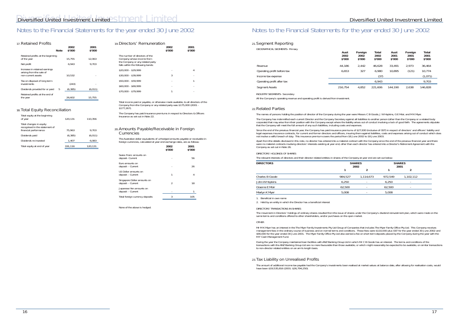## 17.*Retained Profits*

|                                                                                 | <b>Note</b> | 2002<br>\$'000 | 2001<br>\$'000 |
|---------------------------------------------------------------------------------|-------------|----------------|----------------|
| Retained profits at the beginning<br>of the year                                |             | 15,755         | 12,063         |
| Net profit                                                                      |             | 6.943          | 9.703          |
| Increase in retained earnings<br>arising from the sale of<br>non-current assets |             | 10.532         |                |
| Tax on disposal of long term<br>investments                                     |             | (243)          |                |
| Dividends provided for or paid                                                  | 5           | (6, 385)       | (6,011)        |
| Retained profits at the end of<br>the year                                      |             | 26.602         | 15.755         |

## 18.*Total Equity Reconciliation*

Total income paid or payable, or otherwise made available, to all directors of the Company from the Company or any related party was \$175,000 (2001 -  $$177,267$ ).

| Total equity at the beginning<br>of year                                           | 120,131  | 110,356 |
|------------------------------------------------------------------------------------|----------|---------|
| Total changes in equity<br>recognised in the statement of<br>financial performance | 75.963   | 9.703   |
| Dividends paid                                                                     | (6, 385) | (6,011) |
| Dividends re-invested                                                              | 1.407    | 6,083   |
| Total equity at end of year                                                        | 191,116  | 120,131 |

# Notes to the Financial Statements for the year ended 30 June 2002

| 19. Directors' Remuneration                                                                                                          | 2002<br>\$'000 | 2001<br>\$'000 |
|--------------------------------------------------------------------------------------------------------------------------------------|----------------|----------------|
| The number of directors of the<br>Company whose income from<br>the Company or any related party<br>falls within the following bands: |                |                |
| $$20.000 - $29.999$                                                                                                                  |                | 4              |
| $$30.000 - $39.999$                                                                                                                  | 3              |                |
| \$50,000 - \$59,999                                                                                                                  |                |                |
| $$60.000 - $69.999$                                                                                                                  |                |                |
| \$70,000 - \$79,999                                                                                                                  |                |                |
|                                                                                                                                      |                |                |

The Company has paid insurance premiums in respect to Directors & Officers Insurance as set out in Note 22.

#### 20.*Amounts Payable/Receivable in Foreign Currencies*

The Australian dollar equivalents of unhedged amounts payable or receivable in foreign currencies, calculated at year end exchange rates, are as follows:

Since the end of the previous financial year, the Company has paid insurance premiums of \$27,830 (inclusive of GST) in respect of directors' and officers' liability and legal expenses insurance contracts, for current and former directors and officers, insuring them against liabilities, costs and expenses arising out of conduct which does not involve a wilful breach of duty. This insurance premium covers the period from 18 June 2002 to 18 June 2003.

|                                                  | 2002<br>\$'000 | 2001<br>\$'000 |
|--------------------------------------------------|----------------|----------------|
| Swiss Franc amounts on<br>deposit- Current       |                | 56             |
| Euro amounts on<br>deposit – Current             |                | 26             |
| US Dollar amounts on<br>deposit – Current        | 1              | 4              |
| Singapore Dollar amounts on<br>deposit – Current | 2              | 18             |
| Japanese Yen amounts on<br>deposit – Current     |                |                |
| Total foreign currency deposits                  | 3              | 105            |

None of the above is hedged.

Apart from the details disclosed in this note, no director has entered into a material contract with the Company since the end of the previous financial year and there were no material contracts involving directors' interests existing at year end, other than each director has entered into a Director's Retirement Agreement with the Company as set out in Note 26.

## 21.*Segment Reporting*

*GEOGRAPHICAL SEGMENTS- Primary*

|                             | Aust<br>2002<br>\$'000 | Foreign<br>2002<br>\$'000 | Total<br>2002<br>\$'000 | Aust<br>2001<br>\$′000 | Foreign<br>2001<br>\$'000 | Total<br>2001<br>\$'000 |  |
|-----------------------------|------------------------|---------------------------|-------------------------|------------------------|---------------------------|-------------------------|--|
| Revenue                     | 44.186                 | 2,442                     | 46.628                  | 33.491                 | 2.973                     | 36,464                  |  |
| Operating profit before tax | 6,653                  | 327                       | 6,980                   | 10.895                 | (121)                     | 10,774                  |  |
| Income tax expense          |                        |                           | (37)                    |                        |                           | (1,071)                 |  |
| Operating profit after tax  |                        |                           | 6.943                   |                        |                           | 9,703                   |  |
| Segment Assets              | 216.754                | 4,852                     | 221.606                 | 144.190                | 2,638                     | 146,828                 |  |

*INDUSTRY SEGMENTS- Secondary* All the Company's operating revenue and operating profit is derived from investment.

22.*Related Parties*

Mr M K Myer has an interest in the The Myer Family Investments Pty Ltd Group of Companies that includes The Myer Family Office Pty Ltd. This Company receives<br>management fees in the ordinary course of business and on normal \$90,000 for the year ended 30 June 2001. The Myer Family Office Pty Ltd also earned a fee on short term deposits placed by the Company during the year with the M F Cash Management Fund.

The names of persons holding the position of director of the Company during the year were Messrs C B Goode, J W Hopkins, G E Moir, and M K Myer.

The amount of additional income tax payable had the Company's investments been realised at market values at balance date, after allowing for realisation costs, would have been \$19,535,816 (2001: \$26,794,250).

The Company has indemnified each current Director and the Company Secretary against all liabilities to another person (other than the Company or a related body corporate) that may arise from their position with the Company except where the liability arises out of conduct involving a lack of good faith. The agreements stipulate that the Company will meet the full amount of any such liabilities, including costs and expenses.

*DIRECTORS' HOLDINGS OF SHARES*

The relevant interests of directors and their director related entities in shares of the Company at year end are set out below:

| <b>DIRECTORS</b> |         | <b>SHARES</b><br>2002 | <b>SHARES</b><br>2001 |                          |
|------------------|---------|-----------------------|-----------------------|--------------------------|
|                  |         |                       |                       |                          |
| Charles B Goode  | 984.527 | 1.114.673             | 972.549               | 1,102,112                |
| John W Hopkins   | 6,250   |                       | 6,250                 | ۰                        |
| Graeme E Moir    | 62,500  | ۰                     | 62,500                | $\overline{\phantom{a}}$ |
| Martyn K Myer    | 5,008   |                       | 5,008                 |                          |

1. Beneficial in own name

2. Held by an entity in which the Director has a beneficial interest

#### *DIRECTORS' TRANSACTIONS IN SHARES*

The movement in Directors' holdings of ordinary shares resulted from the issue of shares under the Company's dividend reinvestment plan, which were made on the same terms and conditions offered to other shareholders, and/or purchases on the open market.

#### *OTHER*

During the year the Company maintained loan facilities with ANZ Banking Group Ltd in which Mr C B Goode has an interest. The terms and conditions of the transactions with the ANZ Banking Group Ltd are no more favourable than those available, or which might reasonably be expected to be available, on similar transactions to non-director related entities on an arm's length basis.

## 23.*Tax Liability on Unrealised Profits*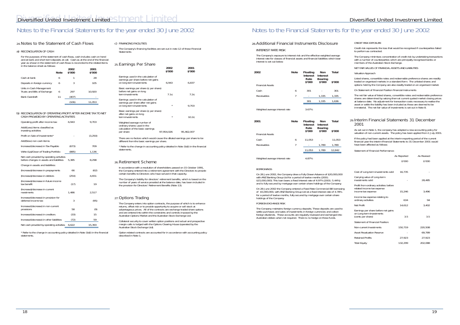## 24.*Notes to the Statement of Cash Flows*

#### a) RECONCILIATION OF CASH

For the purposes of the statement of cash flows, cash includes cash on hand and at bank and short term deposits at call. Cash as at the end of the financial year as shown in the statement of cash flows is reconciled to the related items in the balance sheet as follows:

#### b) RECONCILIATION OF OPERATING PROFIT AFTER INCOME TAX TO NET CASH PROVIDED BY OPERATING ACTIVITIES

|                                                          | <b>Note</b> | 2002<br>\$'000 | 2001<br>\$'000 |
|----------------------------------------------------------|-------------|----------------|----------------|
| Cash at bank                                             | 6           |                | 28             |
| Deposits in foreign currency                             | 6           | 3              | 105            |
| Units in Cash Management<br>Trusts and Bills of Exchange | 6           | 297            | 10.920         |
| Bank Overdraft                                           | 11          | (407)          |                |
|                                                          |             | (106)          | 11.053         |

The Company's financing facilities are set out in note 12 of these Financial **Statements** 

#### 25.*Earnings Per Share* **2002 2001 \$'000 \$'000** Earnings used in the calculation of earnings per share before net gains on long term investments 6,943 6,837 Basic earnings per share (¢ per share) before net gains on long term investments 7.1¢ 7.2¢ Earnings used in the calculation of earnings per share after net gains on long term investments \*  $9,703$ Basic earnings per share (¢ per share) after net gains on long term investments the state of the state of the state of the 10.2¢ Weighted average number of ordinary shares used in the calculation of the basic earnings<br>per share 97,954,026 95,462,007 There are no factors which would cause the diluted earnings per share to be different from the basic earnings per share. \* Refer to the change in accounting policy detailed in Note 1b(ii) in the financial statements.

| Operating profit after income tax:                                                    | 6.943 | 9,703   |
|---------------------------------------------------------------------------------------|-------|---------|
| Add/(Less) items classified as<br>investing activities                                |       |         |
| Profit on Sale of Investments*                                                        |       | (3,250) |
| Add/(less) non cash items:                                                            |       |         |
| Increase/(decrease) in Tax Payable                                                    | (673) | 709     |
| Write (Up)/Down of Trading Portfolio                                                  | (885) | 1,136   |
| Net cash provided by operating activities<br>before changes in assets and liabilities | 5.385 | 8.298   |
| Change in assets and liabilities:                                                     |       |         |
| (Increase)/decrease in prepayments                                                    | 66    | (62)    |
| (Increase)/decrease in debtors                                                        | (254) | 4.651   |
| (Increase)/decrease in future income<br>tax benefit                                   | (17)  | 19      |
| (Increase)/decrease in current<br>nvestments                                          | 1,486 | 2,517   |
| Increase/(decrease) in provision for<br>deferred income tax                           | 3     | (95)    |
| Increase/(decrease) in non current<br>provisions                                      | 58    | (9)     |
| Increase/(decrease) in creditors                                                      | (33)  | 15      |
| Increase/(decrease) in other liabilities                                              | (72)  | 59      |
| Net cash provided by operating activities                                             | 6,622 | 15,393  |
|                                                                                       |       |         |

\* Refer to the change in accounting policy detailed in Note 1b(ii) in the financial statements.

## c) FINANCING FACILITIES

## 26.*Retirement Scheme*

In accordance with a resolution of shareholders passed on 15 October 1991, the Company entered into a retirement agreement with the Directors to provide certain benefits to Directors who have served in that capacity.

The Company minimises concentration of credit risk by undertaking transactions with a number of counterparties which are principally recognised banks or members of the Australian Stock Exchange.

The Company's liability for directors' retirement benefits, which is based on the number of years of service provided at the balance date, has been included in the provision for Directors' Retirement Benefits (Note 13).

## 27.*Options Trading*

The Company enters into option contracts, the purpose of which is to enhance returns, offset risk or to provide opportunity to acquire or sell stock at advantageous prices. All of the contracts are exchange traded share options and are entered into within the constraints and controls imposed by the Australian Options Market and the Australian Stock Exchange Ltd.

Collateral security to cover written option positions and actual and prospective margin calls is lodged with the Options Clearing House (operated by the Australian Stock Exchange Ltd).

Option related contracts are accounted for in accordance with accounting policy described in Note 1.

# Notes to the Financial Statements for the year ended 30 June 2002

## 28.*Additional Financial Instruments Disclosure*

#### *INTEREST RATE RISK*

The Company's exposure to interest risk and the effective weighted average interest rate for classes of financial assets and financial liabilities which bear interest is set out below:

| 2002<br><b>Financial Assets</b> | <b>Note</b> | <b>Floating</b><br><b>Interest</b><br>Rate<br>\$'000 | Non<br>Interest<br><b>Bearing</b><br>\$'000 | Total<br>\$'000 |
|---------------------------------|-------------|------------------------------------------------------|---------------------------------------------|-----------------|
| Cash                            | 6           | 301                                                  |                                             | 301             |
| Receivables                     | 7           |                                                      | 1,335                                       | 1,335           |
|                                 |             | 301                                                  | 1.335                                       | 1.636           |
| Wateleted ources tetaped pate   |             | 2.70/                                                |                                             |                 |

Weighted average interest rate 3.67%

| 2001                           | Note | Floating<br><b>Interest</b><br>Rate<br>\$'000 | Non<br>Interest<br><b>Bearing</b><br>\$'000 | Total<br>\$'000 |
|--------------------------------|------|-----------------------------------------------|---------------------------------------------|-----------------|
| <b>Financial Assets</b>        |      |                                               |                                             |                 |
| Cash                           | 6    | 11.053                                        |                                             | 11,053          |
| Receivables                    | 7    |                                               | 1,789                                       | 1,789           |
|                                |      | 11.053                                        | 1.789                                       | 12.842          |
|                                |      |                                               |                                             |                 |
| Weighted average interest rate |      | 4.87%                                         |                                             |                 |

#### *BORROWINGS*

On 28 June 2002, the Company drew a Fully Drawn Advance of \$20,000,000 with ANZ Banking Group Ltd for a period of twelve months (2001: \$15,000,000). This loan bears a fixed interest rate of 4.97% (2001: 5.44%) and is fully secured by mortgage over certain share holdings of the Company.

On 28 June 2002 the Company entered a Fixed Rate Commercial Bill borrowing of \$5,000,000, with ANZ Banking Group Ltd at a fixed interest rate of 4.78% for a period of twelve months, fully secured by mortgage over certain share holdings of the Company.

#### *FOREIGN EXCHANGE RISK*

The Company maintains foreign currency deposits. These deposits are used to settle purchases and sales of investments in foreign currencies and collect foreign dividends. These accounts are regularly reviewed and exchanged into Australian dollars when not required. There is no hedge on these funds.

#### *CREDIT RISK EXPOSURE*

Credit risk represents the loss that would be recognised if counterparties failed to perform as contracted.

*NET FAIR VALUES OF FINANCIAL ASSETS AND LIABILITIES*

#### *Valuation Approach*

Listed shares, convertible notes and redeemable preference shares are readily traded on organised markets in a standard form. The unlisted shares and options held by the Company are also readily traded on an organised market.

*On Statement of Financial Position Financial Instruments*

The net fair value of listed shares, convertible notes and redeemable preference shares are determined by valuing them at current quoted market closing prices at balance date. No adjustment for transaction costs necessary to realise the asset or settle the liability has been included as these are deemed to be immaterial. The net fair value of investments is set out in Note 8.

## 29.*Interim Financial Statements 31 December 2001*

As set out in Note 1, the company has adopted a new accounting policy for valuation of non-current assets. The policy has been applied from 1 July 2001.

If the policy had been applied at the interim reporting period of the current financial year the interim Financial Statements to 31 December 2001 would have been affected as follows:

*Statement of Financial Performance:*

|                                                                                            | As Reported | As Revised |
|--------------------------------------------------------------------------------------------|-------------|------------|
|                                                                                            | \$'000      | \$'000     |
| Cost of Long-term investments sold                                                         | 16,735      |            |
| Carrying value of Long-term<br>investments sold                                            |             | 28,485     |
| Profit from ordinary activities before<br>related income tax expense<br>income tax expense | 15,246      | 3,496      |
| Income tax expense relating to<br>ordinary activities                                      | 634         | 94         |
| Net Profit                                                                                 | 14,612      | 3,402      |
| Earnings per share before net gains<br>on Long-term Investments<br>(cents per share)       | 3.5         | 3.5        |
| Statement of Financial Position:                                                           |             |            |
| Non-current Investments                                                                    | 150,719     | 220,508    |
| <b>Asset Revaluation Reserve</b>                                                           |             | 69,789     |
| <b>Retained Profits</b>                                                                    | 27,923      | 27,923     |
| <b>Total Equity</b>                                                                        | 132,299     | 202,088    |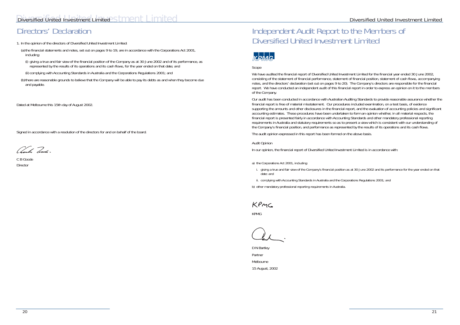# Diversified United Investment Limited Stment Limited

# Directors' Declaration

1. In the opinion of the directors of Diversified United Investment Limited:

(a) the financial statements and notes, set out on pages 9 to 19, are in accordance with the Corporations Act 2001, including:

(i) giving a true and fair view of the financial position of the Company as at 30 June 2002 and of its performance, as represented by the results of its operations and its cash flows, for the year ended on that date; and

(ii) complying with Accounting Standards in Australia and the Corporations Regulations 2001; and

(b) there are reasonable grounds to believe that the Company will be able to pay its debts as and when they become due and payable.

*Dated at Melbourne this 15th day of August 2002.*

Signed in accordance with a resolution of the directors for and on behalf of the board.

 $\mathcal{U}$ le  $\mathcal{I}$ 

C B Goode Director

# Independent Audit Report to the Members of Diversified United Investment Limited



*Scope*

We have audited the financial report of Diversified United Investment Limited for the financial year ended 30 June 2002, consisting of the statement of financial performance, statement of financial position, statement of cash flows, accompanying notes, and the directors' declaration (set out on pages 9 to 20). The Company's directors are responsible for the financial report. We have conducted an independent audit of this financial report in order to express an opinion on it to the members of the Company.

Our audit has been conducted in accordance with Australian Auditing Standards to provide reasonable assurance whether the financial report is free of material misstatement. Our procedures included examination, on a test basis, of evidence supporting the amounts and other disclosures in the financial report, and the evaluation of accounting policies and significant accounting estimates. These procedures have been undertaken to form an opinion whether, in all material respects, the financial report is presented fairly in accordance with Accounting Standards and other mandatory professional reporting requirements in Australia and statutory requirements so as to present a view which is consistent with our understanding of the Company's financial position, and performance as represented by the results of its operations and its cash flows.

The audit opinion expressed in this report has been formed on the above basis.

*Audit Opinion*

In our opinion, the financial report of Diversified United Investment Limited is in accordance with:

a) the Corporations Act 2001, including:

i. giving a true and fair view of the Company's financial position as at 30 June 2002 and its performance for the year ended on that date: and

ii. complying with Accounting Standards in Australia and the Corporations Regulations 2001; and

b) other mandatory professional reporting requirements in Australia.

KPMC

KPMG

D N Bartley Partner Melbourne 15 August, 2002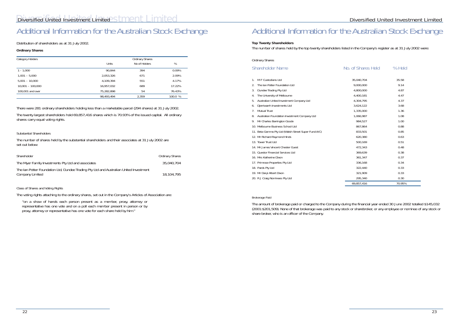# Additional Information for the Australian Stock Exchange

Distribution of shareholders as at 31 July 2002.

# **Ordinary Shares**

| Category Holders   |            | Ordinary Shares |         |  |  |
|--------------------|------------|-----------------|---------|--|--|
|                    | Units      | No of Holders   | $\%$    |  |  |
| $1 - 1,000$        | 90.844     | 394             | 0.09%   |  |  |
| $1,001 - 5,000$    | 2,053,326  | 671             | 2.09%   |  |  |
| $5,001 - 10,000$   | 4,109,394  | 551             | 4.17%   |  |  |
| $10,001 - 100,000$ | 16,957,032 | 689             | 17.22%  |  |  |
| 100,001 and over   | 75.282.898 | 54              | 76.43%  |  |  |
|                    | 98,493,494 | 2,359           | 100.0 % |  |  |

There were 281 ordinary shareholders holding less than a marketable parcel (294 shares) at 31 July 2002.

The twenty largest shareholders hold 69,857,416 shares which is 70.93% of the issued capital. All ordinary shares carry equal voting rights.

# *Substantial Shareholders*

The number of shares held by the substantial shareholders and their associates at 31 July 2002 are set out below:

| Shareholder                                                                                               | <b>Ordinary Shares</b> |
|-----------------------------------------------------------------------------------------------------------|------------------------|
| The Myer Family Investments Pty Ltd and associates                                                        | 35,040,704             |
| The Ian Potter Foundation Ltd, Dundee Trading Pty Ltd and Australian United Investment<br>Company Limited | 18.104.795             |

# *Class of Shares and Voting Rights*

The voting rights attaching to the ordinary shares, set out in the Company's Articles of Association are:

"on a show of hands each person present as a member, proxy, attorney or representative has one vote and on a poll each member present in person or by proxy, attorney or representative has one vote for each share held by him."

## **Top Twenty Shareholders**

The number of shares held by the top twenty shareholders listed in the Company's register as at 31 July 2002 were:

| <b>Ordinary Shares</b> |
|------------------------|
|------------------------|

# Shareholder Name No. Of Shareholder Name

- 1. M F Custodians Ltd
- 2. The Ian Potter Foundation Ltd
- 3. Dundee Trading Pty Ltd
- 4. The University of Melbourne
- 5. Australian United Investment Company Ltd
- 6. Djerriwarrh Investments Ltd
- 7. Mutual Trust
- 8. Australian Foundation Investment Company Ltd
- 9. Mr Charles Barrington Goode
- 10. Melbourne Business School Ltd
- 11. Beta Gamma Pty Ltd (Walsh Street Super Fund A/C)
- 12. Mr Richard Raymond Hinds
- 13. Tower Trust Ltd
- 14. Mr James Vincent Chester Guest
- 15. Questor Financial Services Ltd
- 16. Mrs Katherine Dixon
- 17. Primrose Properties Pty Ltd
- 18. Pards Pty Ltd
- 19. Mr Daryl Albert Dixon
- 20. R J Craig Nominees Pty Ltd

| . of Shares Held | % Held |
|------------------|--------|
| 35,040,704       | 35.58  |
| 9,000,000        | 9.14   |
| 4,800,000        | 4.87   |
| 4,400,181        | 4.47   |
| 4,304,795        | 4.37   |
| 3,624,122        | 3.68   |
| 1,335,000        | 1.36   |
| 1,066,987        | 1.08   |
| 984,527          | 1.00   |
| 867,864          | 0.88   |
| 833,501          | 0.85   |
| 620,380          | 0.63   |
| 500,169          | 0.51   |
| 472,343          | 0.48   |
| 369,639          | 0.38   |
| 361,347          | 0.37   |
| 336,168          | 0.34   |
| 322,440          | 0.33   |
| 321,909          | 0.33   |
| 295,340          | 0.30   |
| 69,857,416       | 70.95% |

## Brokerage Paid

The amount of brokerage paid or charged to the Company during the financial year ended 30 June 2002 totalled \$145,032 (2001:\$201,509). None of that brokerage was paid to any stock or sharebroker, or any employee or nominee of any stock or share broker, who is an officer of the Company.

# Additional Information for the Australian Stock Exchange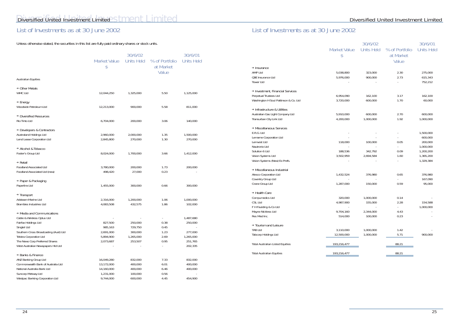# Diversified United Investment Limited Stment Limited

# List of Investments as at 30 June 2002

Unless otherwise stated, the securities in this list are fully paid ordinary shares or stock units.

|                                                                                                                                                                                                                                              | <b>Market Value</b><br>\$                                        | 30/6/02<br>Units Held                                 | % of Portfolio<br>at Market<br>Value | 30/6/01<br><b>Units Held</b>                                       |
|----------------------------------------------------------------------------------------------------------------------------------------------------------------------------------------------------------------------------------------------|------------------------------------------------------------------|-------------------------------------------------------|--------------------------------------|--------------------------------------------------------------------|
| <b>Australian Equities</b>                                                                                                                                                                                                                   |                                                                  |                                                       |                                      |                                                                    |
| $\rightarrow$ Other Metals<br><b>WMC Ltd</b>                                                                                                                                                                                                 | 12,044,250                                                       | 1,325,000                                             | 5.50                                 | 1,125,000                                                          |
| $\rightarrow$ Energy<br>Woodside Petroleum Ltd                                                                                                                                                                                               | 12,213,000                                                       | 900,000                                               | 5.58                                 | 811,000                                                            |
| → Diversified Resources<br>Rio Tinto Ltd                                                                                                                                                                                                     | 6,704,000                                                        | 200,000                                               | 3.06                                 | 140,000                                                            |
| + Developers & Contractors<br>Australand Holdings Ltd<br>Lend Lease Corporation Ltd                                                                                                                                                          | 2,960,000<br>2,845,800                                           | 2,000,000<br>270,000                                  | 1.35<br>1.30                         | 1,500,000<br>270,000                                               |
| + Alcohol & Tobacco<br>Foster's Group Ltd                                                                                                                                                                                                    | 8,024,000                                                        | 1,700,000                                             | 3.66                                 | 1,412,000                                                          |
| $\rightarrow$ Retail<br>Foodland Associated Ltd<br>Foodland Associated Ltd (new)                                                                                                                                                             | 3,780,000<br>498,420                                             | 200,000<br>27,000                                     | 1.73<br>0.23                         | 200,000                                                            |
| → Paper & Packaging<br>Paperlinx Ltd                                                                                                                                                                                                         | 1,455,000                                                        | 300,000                                               | 0.66                                 | 300,000                                                            |
| $\rightarrow$ Transport<br>Adsteam Marine Ltd<br>Brambles Industries Ltd                                                                                                                                                                     | 2,316,000<br>4,083,508                                           | 1,200,000<br>432,575                                  | 1.06<br>1.86                         | 1,000,000<br>102,000                                               |
| → Media and Communications<br>Cable & Wireless Optus Ltd<br>Fairfax Holdings Ltd<br>Singtel Ltd<br>Southern Cross Broadcasting (Aust) Ltd<br>Telstra Corporation Ltd<br>The News Corp Preferred Shares<br>West Australian Newspapers Hld Ltd | 827,500<br>985,163<br>2,691,000<br>5,894,900<br>2,073,687        | 250,000<br>729,750<br>300,000<br>1,265,000<br>253,507 | 0.38<br>0.45<br>1.23<br>2.69<br>0.95 | 1,487,680<br>250,000<br>277,000<br>1,265,000<br>251,765<br>202,335 |
| → Banks & Finance<br>ANZ Banking Group Ltd<br>Commonwealth Bank of Australia Ltd<br>National Australia Bank Ltd<br>Suncorp Metway Ltd<br>Westpac Banking Corporation Ltd                                                                     | 16,049,280<br>13,172,000<br>14,160,000<br>1,231,000<br>9,744,000 | 832,000<br>400,000<br>400,000<br>100,000<br>600,000   | 7.33<br>6.01<br>6.46<br>0.56<br>4.45 | 832,000<br>400,000<br>400,000<br>454,900                           |

|                                           | <b>Market Value</b><br>\$ | 30/6/02<br><b>Units Held</b> | % of Portfolio<br>at Market<br>Value | 30/6/01<br><b>Units Held</b> |
|-------------------------------------------|---------------------------|------------------------------|--------------------------------------|------------------------------|
| $\rightarrow$ Insurance<br><b>AMP Ltd</b> | 5,038,800                 | 323,000                      | 2.30                                 | 275,000                      |
| QBE Insurance Ltd<br>Tower Ltd            | 5,976,000                 | 900,000                      | 2.73                                 | 615,343<br>752,212           |
| → Investment, Financial Services          |                           |                              |                                      |                              |
| Perpetual Trustees Ltd                    | 6,954,090                 | 162,100                      | 3.17                                 | 162,100                      |
| Washington H Soul Pattinson & Co. Ltd     | 3,720,000                 | 600,000                      | 1.70                                 | 60,000                       |
| + Infrastructure & Utilities              |                           |                              |                                      |                              |
| Australian Gas Light Company Ltd          | 5,910,000                 | 600,000                      | 2.70                                 | 600,000                      |
| Transurban City Link Ltd                  | 4,200,000                 | 1,000,000                    | 1.92                                 | 1,000,000                    |
| + Miscellaneous Services                  |                           |                              |                                      |                              |
| E.R.G. Ltd                                |                           |                              |                                      | 1,500,000                    |
| Lemarne Corporation Ltd                   |                           |                              |                                      | 600,000                      |
| Lemvest Ltd                               | 118,000                   | 100,000                      | 0.05                                 | 200,000                      |
| Nautronix Ltd                             |                           |                              |                                      | 1,000,000                    |
| Solution 6 Ltd                            | 188,536                   | 342,792                      | 0.09                                 | 1,200,200                    |
| Vision Systems Ltd                        | 3,502,959                 | 2,694,584                    | 1.60                                 | 1,365,200                    |
| Vision Systems (New) Ex Prefs.            |                           |                              |                                      | 1,329,384                    |
| → Miscellaneous Industrial                |                           |                              |                                      |                              |
| Alesco Corporation Ltd                    | 1,432,524                 | 376,980                      | 0.65                                 | 376,980                      |
| Coventry Group Ltd                        |                           |                              |                                      | 167,090                      |
| Crane Group Ltd                           | 1,287,000                 | 150,000                      | 0.59                                 | 95,000                       |
| + Health Care                             |                           |                              |                                      |                              |
| Compumedics Ltd                           | 320,000                   | 1,000,000                    | 0.14                                 |                              |
| CSL Ltd                                   | 4,987,900                 | 155,000                      | 2.28                                 | 154,588                      |
| F H Faulding & Co Ltd                     |                           |                              |                                      | 1,000,000                    |
| Mayne Nickless Ltd                        | 9,704,160                 | 2,344,000                    | 4.43                                 |                              |
| Res Med Inc.                              | 514,000                   | 100,000                      | 0.23                                 |                              |
| Tourism and Leisure                       |                           |                              |                                      |                              |
| TAB Ltd                                   | 3,110,000                 | 1,000,000                    | 1.42                                 |                              |
| Tabcorp Holdings Ltd                      | 12,500,000                | 1,000,000                    | 5.71                                 | 900,000                      |
| <b>Total Australian Listed Equities</b>   | 193,216,477               |                              | 88.21                                |                              |
| <b>Total Australian Equities</b>          | 193,216,477               |                              | 88.21                                |                              |

# List of Investments as at 30 June 2002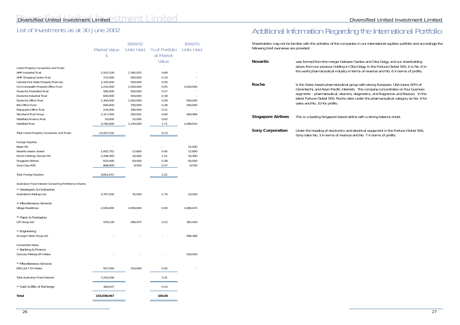|                                                                     |                           | 30/6/02           |                                      | 30/6/01           |
|---------------------------------------------------------------------|---------------------------|-------------------|--------------------------------------|-------------------|
|                                                                     | <b>Market Value</b><br>\$ | <b>Units Held</b> | % of Portfolio<br>at Market<br>Value | <b>Units Held</b> |
|                                                                     |                           |                   |                                      |                   |
| <b>Listed Property Companies and Trusts</b><br>AMP Industrial Trust | 1,501,528                 | 1,365,025         | 0.69                                 |                   |
| AMP Shopping Centre Trust                                           | 715,000                   | 500,000           | 0.33                                 |                   |
| Colonial First State Property Trust Grp                             | 1,105,000                 | 500,000           | 0.50                                 |                   |
| Commonwealth Property Office Fund                                   | 1,210,000                 | 1,000,000         | 0.55                                 | 1,000,000         |
| Deutsche Diversified Trust                                          | 585,000                   | 500,000           | 0.27                                 |                   |
| Deutsche Industrial Trust                                           | 830,000                   | 500,000           | 0.38                                 |                   |
| Deutsche Office Trust                                               | 1,300,000                 | 1,000,000         | 0.59                                 | 500,000           |
| <b>ING Office Fund</b>                                              | 840,000                   | 700,000           | 0.38                                 | 200,000           |
| Macquarie Office Trust                                              | 234,000                   | 180,000           | 0.11                                 |                   |
| Stockland Trust Group<br>Westfield America Trust                    | 1,317,004<br>50,000       | 300,001<br>25,000 | 0.60<br>0.02                         | 284,984           |
| Westfield Trust                                                     | 3,740,000                 | 1,100,000         | 1.71                                 | 1,088,615         |
| <b>Total Listed Property Companies and Trusts</b>                   | 13,427,532                |                   | 6.13                                 |                   |
| <b>Foreign Equities</b>                                             |                           |                   |                                      |                   |
| Bayer AG                                                            |                           |                   |                                      | 15,000            |
| Novartis bearer shares                                              | 1,002,752                 | 12,800            | 0.45                                 | 12,800            |
| Roche Holdings Genush FN                                            | 2,208,260                 | 16,400            | 1.01                                 | 16,400            |
| Singapore Airlines                                                  | 832,000                   | 64,000            | 0.38                                 | 64,000            |
| Sony Corp ADR                                                       | 808,659                   | 8,550             | 0.37                                 | 8,550             |
| <b>Total Foreign Equities</b>                                       | 4,851,671                 |                   | 2.21                                 |                   |
| Australian Fixed Interest Converting Preference Shares              |                           |                   |                                      |                   |
| Developers & Contractors                                            |                           |                   |                                      |                   |
| Australand Holdings Ltd                                             | 3,797,500                 | 35,000            | 1.74                                 | 10,000            |
| → Miscellaneous Services                                            |                           |                   |                                      |                   |
| Village Roadshow                                                    | 2,040,000                 | 2,000,000         | 0.93                                 | 1,080,674         |
| → Paper & Packaging                                                 |                           |                   |                                      |                   |
| CPI Group Ltd                                                       | 478,130                   | 296,975           | 0.22                                 | 365,000           |
| $\rightarrow$ Engineering                                           |                           |                   |                                      |                   |
| Smorgon Steel Group Ltd                                             |                           |                   |                                      | 496,496           |
| <b>Convertible Notes</b>                                            |                           |                   |                                      |                   |
| + Banking & Finance                                                 |                           |                   |                                      |                   |
| Suncorp-Metway 8% Notes                                             |                           |                   |                                      | 100,000           |
| → Miscellaneous Services                                            |                           |                   |                                      |                   |
| ERG Ltd 7.5% Notes                                                  | 927,000                   | 150,000           | 0.42                                 |                   |
| <b>Total Australian Fixed Interest</b>                              | 7,242,630                 |                   | 3.31                                 |                   |
| → Cash & Bills of Exchange                                          | 300,637                   |                   | 0.14                                 |                   |
| <b>Total</b>                                                        | 219,038,947               |                   | 100.00                               |                   |
|                                                                     |                           |                   |                                      |                   |

> group with strong European, USA (owns 60% of rests. The company concentrates on four business ins, diagnostics, and fragrances and flavours. In the lates under the pharmaceutical category as No. 9 for

*Solny Corporation* Under the fortune Global 500, Sony rates No. 3 in terms of revenue and No. 7 in terms of profits.

# Diversified United Investment Limited

# List of Investments as at 30 June 2002

Shareholders may not be familiar with the activities of the companies in our international equities portfolio and accordingly the following brief overviews are provided:

| <b>Novartis</b>           | was formed from the merger between Santoz and Ciba Geigy, and our shareholding<br>arises from our previous holding in Ciba Geigy. In the Fortune Global 500, it is No. 8<br>the world pharmaceutical industry in terms of revenue and No. 6 in terms of profits.                                                                                                               |
|---------------------------|--------------------------------------------------------------------------------------------------------------------------------------------------------------------------------------------------------------------------------------------------------------------------------------------------------------------------------------------------------------------------------|
| Roche                     | is the Swiss based pharmaceutical group with strong European, USA (owns 60% of<br>Genentech), and Asian Pacific interests. The company concentrates on four busines<br>segments - pharmaceutical, vitamins, diagnostics, and fragrances and flavours. In<br>latest Fortune Global 500, Roche rates under the pharmaceutical category as No. 9<br>sales and No. 10 for profits. |
| <b>Singapore Airlines</b> | This is a leading Singapore based airline with a strong balance sheet.                                                                                                                                                                                                                                                                                                         |
| <b>Sony Corporation</b>   | Under the heading of electronics and electrical equipment in the Fortune Global 500                                                                                                                                                                                                                                                                                            |

# Additional Information Regarding the International Portfolio